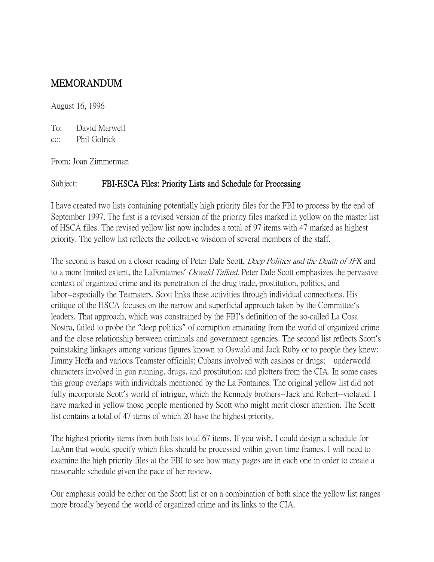## MEMORANDUM

August 16, 1996

To: David Marwell

cc: Phil Golrick

From: Joan Zimmerman

## Subject: FBI-HSCA Files: Priority Lists and Schedule for Processing

I have created two lists containing potentially high priority files for the FBI to process by the end of September 1997. The first is a revised version of the priority files marked in yellow on the master list of HSCA files. The revised yellow list now includes a total of 97 items with 47 marked as highest priority. The yellow list reflects the collective wisdom of several members of the staff.

The second is based on a closer reading of Peter Dale Scott, *Deep Politics and the Death of JFK* and to a more limited extent, the LaFontaines' *Oswald Talked*. Peter Dale Scott emphasizes the pervasive context of organized crime and its penetration of the drug trade, prostitution, politics, and labor--especially the Teamsters. Scott links these activities through individual connections. His critique of the HSCA focuses on the narrow and superficial approach taken by the Committee's leaders. That approach, which was constrained by the FBI's definition of the so-called La Cosa Nostra, failed to probe the "deep politics" of corruption emanating from the world of organized crime and the close relationship between criminals and government agencies. The second list reflects Scott's painstaking linkages among various figures known to Oswald and Jack Ruby or to people they knew: Jimmy Hoffa and various Teamster officials; Cubans involved with casinos or drugs; underworld characters involved in gun running, drugs, and prostitution; and plotters from the CIA. In some cases this group overlaps with individuals mentioned by the La Fontaines. The original yellow list did not fully incorporate Scott's world of intrigue, which the Kennedy brothers--Jack and Robert--violated. I have marked in yellow those people mentioned by Scott who might merit closer attention. The Scott list contains a total of 47 items of which 20 have the highest priority.

The highest priority items from both lists total 67 items. If you wish, I could design a schedule for LuAnn that would specify which files should be processed within given time frames. I will need to examine the high priority files at the FBI to see how many pages are in each one in order to create a reasonable schedule given the pace of her review.

Our emphasis could be either on the Scott list or on a combination of both since the yellow list ranges more broadly beyond the world of organized crime and its links to the CIA.